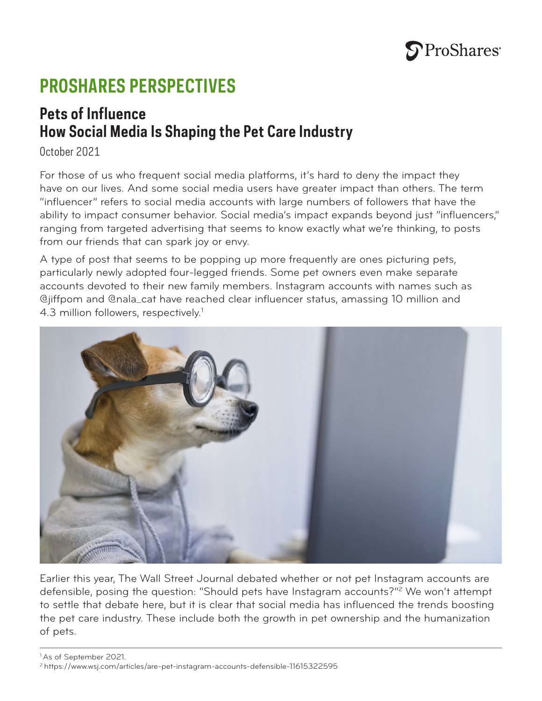

# **PROSHARES PERSPECTIVES**

## **Pets of Influence How Social Media Is Shaping the Pet Care Industry**

October 2021

For those of us who frequent social media platforms, it's hard to deny the impact they have on our lives. And some social media users have greater impact than others. The term "influencer" refers to social media accounts with large numbers of followers that have the ability to impact consumer behavior. Social media's impact expands beyond just "influencers," ranging from targeted advertising that seems to know exactly what we're thinking, to posts from our friends that can spark joy or envy.

A type of post that seems to be popping up more frequently are ones picturing pets, particularly newly adopted four-legged friends. Some pet owners even make separate accounts devoted to their new family members. Instagram accounts with names such as @jiffpom and @nala\_cat have reached clear influencer status, amassing 10 million and 4.3 million followers, respectively.<sup>1</sup>



Earlier this year, The Wall Street Journal debated whether or not pet Instagram accounts are defensible, posing the question: "Should pets have Instagram accounts?"2 We won't attempt to settle that debate here, but it is clear that social media has influenced the trends boosting the pet care industry. These include both the growth in pet ownership and the humanization of pets.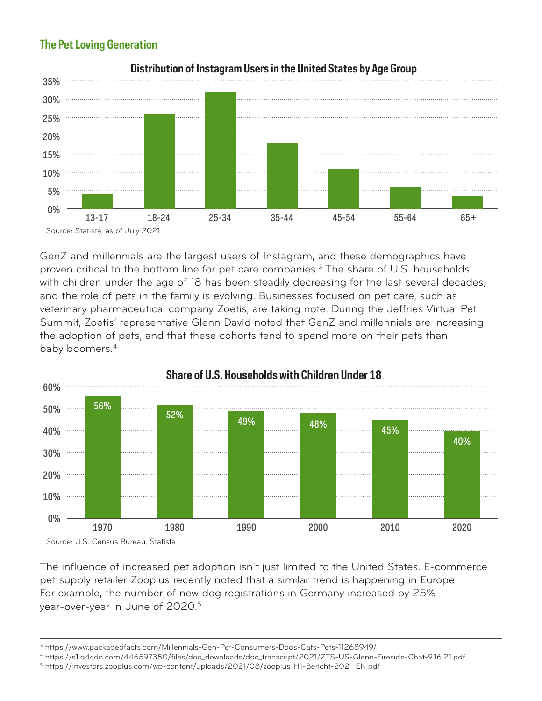### **The Pet Loving Generation**



**Distribution of Instagram Users in the United States by Age Group**

GenZ and millennials are the largest users of Instagram, and these demographics have proven critical to the bottom line for pet care companies.<sup>3</sup> The share of U.S. households with children under the age of 18 has been steadily decreasing for the last several decades, and the role of pets in the family is evolving. Businesses focused on pet care, such as veterinary pharmaceutical company Zoetis, are taking note. During the Jeffries Virtual Pet Summit, Zoetis' representative Glenn David noted that GenZ and millennials are increasing the adoption of pets, and that these cohorts tend to spend more on their pets than baby boomers.<sup>4</sup>



The influence of increased pet adoption isn't just limited to the United States. E-commerce pet supply retailer Zooplus recently noted that a similar trend is happening in Europe. For example, the number of new dog registrations in Germany increased by 25% year-over-year in June of 2020.<sup>5</sup>

4 https://s1.q4cdn.com/446597350/files/doc\_downloads/doc\_transcript/2021/ZTS-US-Glenn-Fireside-Chat-9.16.21.pdf

<sup>3</sup> https://www.packagedfacts.com/Millennials-Gen-Pet-Consumers-Dogs-Cats-Pets-11268949/

<sup>5</sup> https://investors.zooplus.com/wp-content/uploads/2021/08/zooplus\_H1-Bericht-2021\_EN.pdf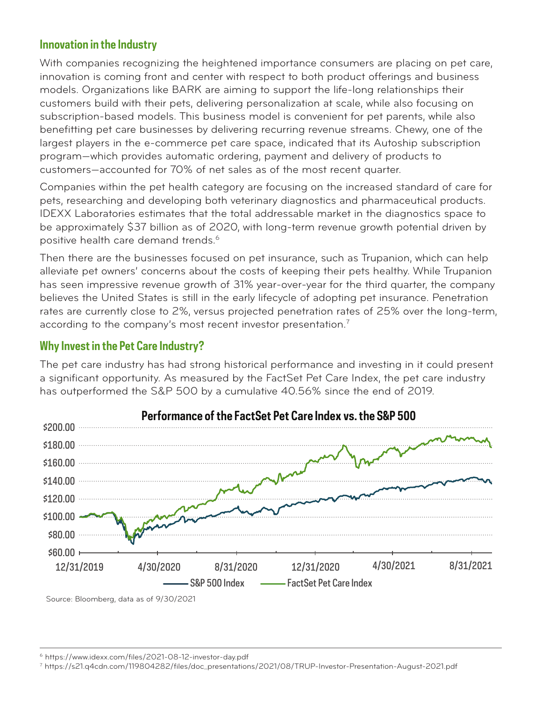#### **Innovation in the Industry**

With companies recognizing the heightened importance consumers are placing on pet care, innovation is coming front and center with respect to both product offerings and business models. Organizations like BARK are aiming to support the life-long relationships their customers build with their pets, delivering personalization at scale, while also focusing on subscription-based models. This business model is convenient for pet parents, while also benefitting pet care businesses by delivering recurring revenue streams. Chewy, one of the largest players in the e-commerce pet care space, indicated that its Autoship subscription program—which provides automatic ordering, payment and delivery of products to customers—accounted for 70% of net sales as of the most recent quarter.

Companies within the pet health category are focusing on the increased standard of care for pets, researching and developing both veterinary diagnostics and pharmaceutical products. IDEXX Laboratories estimates that the total addressable market in the diagnostics space to be approximately \$37 billion as of 2020, with long-term revenue growth potential driven by positive health care demand trends.<sup>6</sup>

Then there are the businesses focused on pet insurance, such as Trupanion, which can help alleviate pet owners' concerns about the costs of keeping their pets healthy. While Trupanion has seen impressive revenue growth of 31% year-over-year for the third quarter, the company believes the United States is still in the early lifecycle of adopting pet insurance. Penetration rates are currently close to 2%, versus projected penetration rates of 25% over the long-term, according to the company's most recent investor presentation. $^7$ 

#### **Why Invest in the Pet Care Industry?**

The pet care industry has had strong historical performance and investing in it could present a significant opportunity. As measured by the FactSet Pet Care Index, the pet care industry has outperformed the S&P 500 by a cumulative 40.56% since the end of 2019.



**Performance ofthe FactSet Pet Care Index vs. the S&P 500**

Source: Bloomberg, data as of 9/30/2021

7 https://s21.q4cdn.com/119804282/files/doc\_presentations/2021/08/TRUP-Investor-Presentation-August-2021.pdf

<sup>6</sup> https://www.idexx.com/files/2021-08-12-investor-day.pdf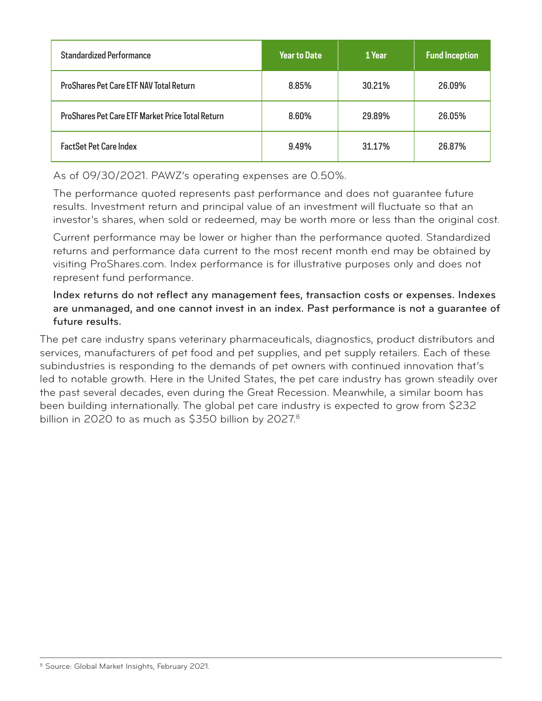| <b>Standardized Performance</b>                         | <b>Year to Date</b> | 1 Year | <b>Fund Inception</b> |
|---------------------------------------------------------|---------------------|--------|-----------------------|
| <b>ProShares Pet Care ETF NAV Total Return</b>          | 8.85%               | 30.21% | 26.09%                |
| <b>ProShares Pet Care ETF Market Price Total Return</b> | 8.60%               | 29.89% | 26.05%                |
| <b>FactSet Pet Care Index</b>                           | 9.49%               | 31.17% | 26.87%                |

As of 09/30/2021. PAWZ's operating expenses are 0.50%.

The performance quoted represents past performance and does not guarantee future results. Investment return and principal value of an investment will fluctuate so that an investor's shares, when sold or redeemed, may be worth more or less than the original cost.

Current performance may be lower or higher than the performance quoted. Standardized returns and performance data current to the most recent month end may be obtained by visiting ProShares.com. Index performance is for illustrative purposes only and does not represent fund performance.

Index returns do not reflect any management fees, transaction costs or expenses. Indexes are unmanaged, and one cannot invest in an index. Past performance is not a guarantee of future results.

The pet care industry spans veterinary pharmaceuticals, diagnostics, product distributors and services, manufacturers of pet food and pet supplies, and pet supply retailers. Each of these subindustries is responding to the demands of pet owners with continued innovation that's led to notable growth. Here in the United States, the pet care industry has grown steadily over the past several decades, even during the Great Recession. Meanwhile, a similar boom has been building internationally. The global pet care industry is expected to grow from \$232 billion in 2020 to as much as \$350 billion by 2027.<sup>8</sup>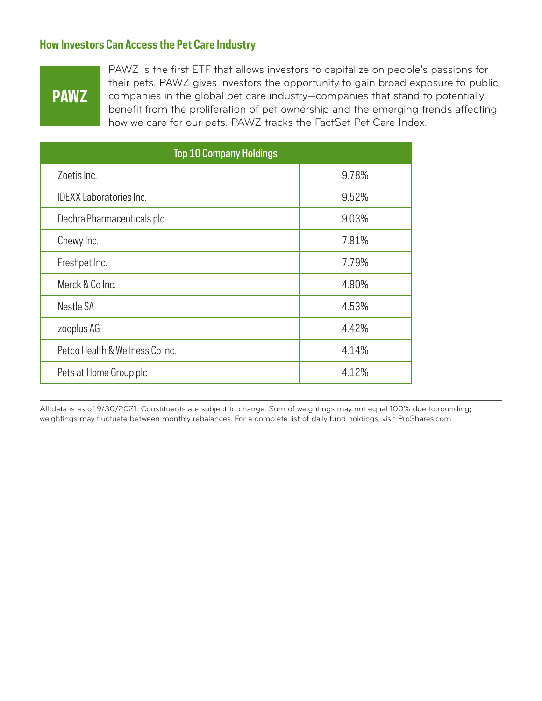#### **How Investors Can Access the Pet Care Industry**

## **PAWZ**

PAWZ is the first ETF that allows investors to capitalize on people's passions for their pets. PAWZ gives investors the opportunity to gain broad exposure to public companies in the global pet care industry—companies that stand to potentially benefit from the proliferation of pet ownership and the emerging trends affecting how we care for our pets. PAWZ tracks the FactSet Pet Care Index.

| <b>Top 10 Company Holdings</b>  |       |  |  |
|---------------------------------|-------|--|--|
| Zoetis Inc.                     | 9.78% |  |  |
| <b>IDEXX Laboratories Inc.</b>  | 9.52% |  |  |
| Dechra Pharmaceuticals plc      | 9.03% |  |  |
| Chewy Inc.                      | 7.81% |  |  |
| Freshpet Inc.                   | 7.79% |  |  |
| Merck & Co Inc.                 | 4.80% |  |  |
| Nestle SA                       | 4.53% |  |  |
| zooplus AG                      | 4.42% |  |  |
| Petco Health & Wellness Co Inc. | 4.14% |  |  |
| Pets at Home Group plc          | 4.12% |  |  |

All data is as of 9/30/2021. Constituents are subject to change. Sum of weightings may not equal 100% due to rounding; weightings may fluctuate between monthly rebalances. For a complete list of daily fund holdings, visit ProShares.com.